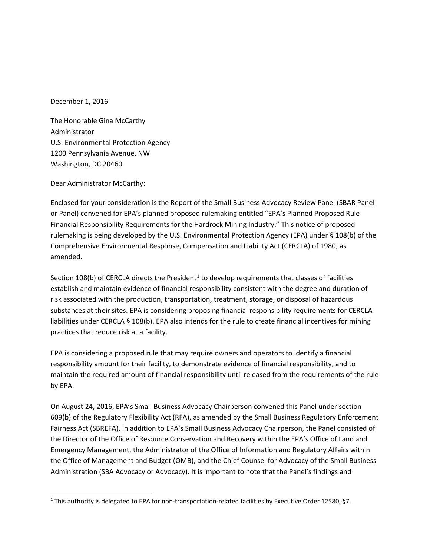December 1, 2016

The Honorable Gina McCarthy Administrator U.S. Environmental Protection Agency 1200 Pennsylvania Avenue, NW Washington, DC 20460

Dear Administrator McCarthy:

Enclosed for your consideration is the Report of the Small Business Advocacy Review Panel (SBAR Panel or Panel) convened for EPA's planned proposed rulemaking entitled "EPA's Planned Proposed Rule Financial Responsibility Requirements for the Hardrock Mining Industry." This notice of proposed rulemaking is being developed by the U.S. Environmental Protection Agency (EPA) under § 108(b) of the Comprehensive Environmental Response, Compensation and Liability Act (CERCLA) of 1980, as amended.

Section [1](#page-0-0)08(b) of CERCLA directs the President<sup>1</sup> to develop requirements that classes of facilities establish and maintain evidence of financial responsibility consistent with the degree and duration of risk associated with the production, transportation, treatment, storage, or disposal of hazardous substances at their sites. EPA is considering proposing financial responsibility requirements for CERCLA liabilities under CERCLA § 108(b). EPA also intends for the rule to create financial incentives for mining practices that reduce risk at a facility.

EPA is considering a proposed rule that may require owners and operators to identify a financial responsibility amount for their facility, to demonstrate evidence of financial responsibility, and to maintain the required amount of financial responsibility until released from the requirements of the rule by EPA.

On August 24, 2016, EPA's Small Business Advocacy Chairperson convened this Panel under section 609(b) of the Regulatory Flexibility Act (RFA), as amended by the Small Business Regulatory Enforcement Fairness Act (SBREFA). In addition to EPA's Small Business Advocacy Chairperson, the Panel consisted of the Director of the Office of Resource Conservation and Recovery within the EPA's Office of Land and Emergency Management, the Administrator of the Office of Information and Regulatory Affairs within the Office of Management and Budget (OMB), and the Chief Counsel for Advocacy of the Small Business Administration (SBA Advocacy or Advocacy). It is important to note that the Panel's findings and

<span id="page-0-0"></span><sup>1</sup> This authority is delegated to EPA for non-transportation-related facilities by Executive Order 12580, §7.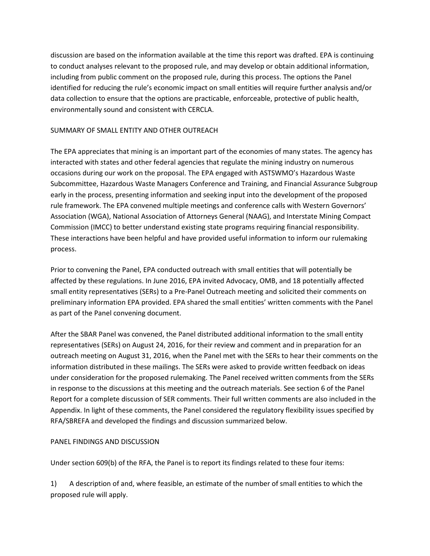discussion are based on the information available at the time this report was drafted. EPA is continuing to conduct analyses relevant to the proposed rule, and may develop or obtain additional information, including from public comment on the proposed rule, during this process. The options the Panel identified for reducing the rule's economic impact on small entities will require further analysis and/or data collection to ensure that the options are practicable, enforceable, protective of public health, environmentally sound and consistent with CERCLA.

# SUMMARY OF SMALL ENTITY AND OTHER OUTREACH

The EPA appreciates that mining is an important part of the economies of many states. The agency has interacted with states and other federal agencies that regulate the mining industry on numerous occasions during our work on the proposal. The EPA engaged with ASTSWMO's Hazardous Waste Subcommittee, Hazardous Waste Managers Conference and Training, and Financial Assurance Subgroup early in the process, presenting information and seeking input into the development of the proposed rule framework. The EPA convened multiple meetings and conference calls with Western Governors' Association (WGA), National Association of Attorneys General (NAAG), and Interstate Mining Compact Commission (IMCC) to better understand existing state programs requiring financial responsibility. These interactions have been helpful and have provided useful information to inform our rulemaking process.

Prior to convening the Panel, EPA conducted outreach with small entities that will potentially be affected by these regulations. In June 2016, EPA invited Advocacy, OMB, and 18 potentially affected small entity representatives (SERs) to a Pre-Panel Outreach meeting and solicited their comments on preliminary information EPA provided. EPA shared the small entities' written comments with the Panel as part of the Panel convening document.

After the SBAR Panel was convened, the Panel distributed additional information to the small entity representatives (SERs) on August 24, 2016, for their review and comment and in preparation for an outreach meeting on August 31, 2016, when the Panel met with the SERs to hear their comments on the information distributed in these mailings. The SERs were asked to provide written feedback on ideas under consideration for the proposed rulemaking. The Panel received written comments from the SERs in response to the discussions at this meeting and the outreach materials. See section 6 of the Panel Report for a complete discussion of SER comments. Their full written comments are also included in the Appendix. In light of these comments, the Panel considered the regulatory flexibility issues specified by RFA/SBREFA and developed the findings and discussion summarized below.

## PANEL FINDINGS AND DISCUSSION

Under section 609(b) of the RFA, the Panel is to report its findings related to these four items:

1) A description of and, where feasible, an estimate of the number of small entities to which the proposed rule will apply.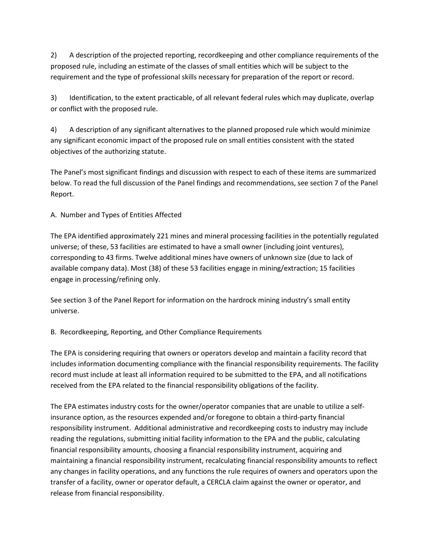2) A description of the projected reporting, recordkeeping and other compliance requirements of the proposed rule, including an estimate of the classes of small entities which will be subject to the requirement and the type of professional skills necessary for preparation of the report or record.

3) Identification, to the extent practicable, of all relevant federal rules which may duplicate, overlap or conflict with the proposed rule.

4) A description of any significant alternatives to the planned proposed rule which would minimize any significant economic impact of the proposed rule on small entities consistent with the stated objectives of the authorizing statute.

The Panel's most significant findings and discussion with respect to each of these items are summarized below. To read the full discussion of the Panel findings and recommendations, see section 7 of the Panel Report.

A. Number and Types of Entities Affected

The EPA identified approximately 221 mines and mineral processing facilities in the potentially regulated universe; of these, 53 facilities are estimated to have a small owner (including joint ventures), corresponding to 43 firms. Twelve additional mines have owners of unknown size (due to lack of available company data). Most (38) of these 53 facilities engage in mining/extraction; 15 facilities engage in processing/refining only.

See section 3 of the Panel Report for information on the hardrock mining industry's small entity universe.

B. Recordkeeping, Reporting, and Other Compliance Requirements

The EPA is considering requiring that owners or operators develop and maintain a facility record that includes information documenting compliance with the financial responsibility requirements. The facility record must include at least all information required to be submitted to the EPA, and all notifications received from the EPA related to the financial responsibility obligations of the facility.

The EPA estimates industry costs for the owner/operator companies that are unable to utilize a selfinsurance option, as the resources expended and/or foregone to obtain a third-party financial responsibility instrument. Additional administrative and recordkeeping costs to industry may include reading the regulations, submitting initial facility information to the EPA and the public, calculating financial responsibility amounts, choosing a financial responsibility instrument, acquiring and maintaining a financial responsibility instrument, recalculating financial responsibility amounts to reflect any changes in facility operations, and any functions the rule requires of owners and operators upon the transfer of a facility, owner or operator default, a CERCLA claim against the owner or operator, and release from financial responsibility.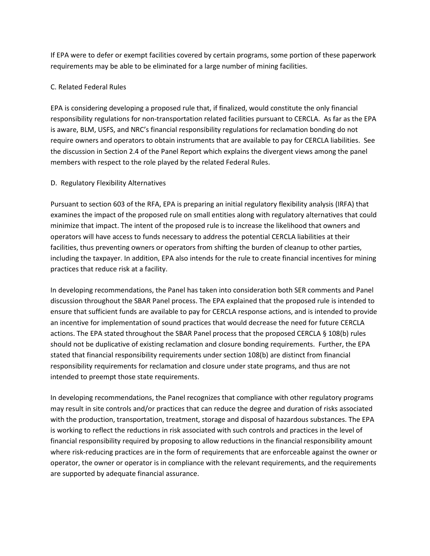If EPA were to defer or exempt facilities covered by certain programs, some portion of these paperwork requirements may be able to be eliminated for a large number of mining facilities.

# C. Related Federal Rules

EPA is considering developing a proposed rule that, if finalized, would constitute the only financial responsibility regulations for non-transportation related facilities pursuant to CERCLA. As far as the EPA is aware, BLM, USFS, and NRC's financial responsibility regulations for reclamation bonding do not require owners and operators to obtain instruments that are available to pay for CERCLA liabilities. See the discussion in Section 2.4 of the Panel Report which explains the divergent views among the panel members with respect to the role played by the related Federal Rules.

# D. Regulatory Flexibility Alternatives

Pursuant to section 603 of the RFA, EPA is preparing an initial regulatory flexibility analysis (IRFA) that examines the impact of the proposed rule on small entities along with regulatory alternatives that could minimize that impact. The intent of the proposed rule is to increase the likelihood that owners and operators will have access to funds necessary to address the potential CERCLA liabilities at their facilities, thus preventing owners or operators from shifting the burden of cleanup to other parties, including the taxpayer. In addition, EPA also intends for the rule to create financial incentives for mining practices that reduce risk at a facility.

In developing recommendations, the Panel has taken into consideration both SER comments and Panel discussion throughout the SBAR Panel process. The EPA explained that the proposed rule is intended to ensure that sufficient funds are available to pay for CERCLA response actions, and is intended to provide an incentive for implementation of sound practices that would decrease the need for future CERCLA actions. The EPA stated throughout the SBAR Panel process that the proposed CERCLA § 108(b) rules should not be duplicative of existing reclamation and closure bonding requirements. Further, the EPA stated that financial responsibility requirements under section 108(b) are distinct from financial responsibility requirements for reclamation and closure under state programs, and thus are not intended to preempt those state requirements.

In developing recommendations, the Panel recognizes that compliance with other regulatory programs may result in site controls and/or practices that can reduce the degree and duration of risks associated with the production, transportation, treatment, storage and disposal of hazardous substances. The EPA is working to reflect the reductions in risk associated with such controls and practices in the level of financial responsibility required by proposing to allow reductions in the financial responsibility amount where risk-reducing practices are in the form of requirements that are enforceable against the owner or operator, the owner or operator is in compliance with the relevant requirements, and the requirements are supported by adequate financial assurance.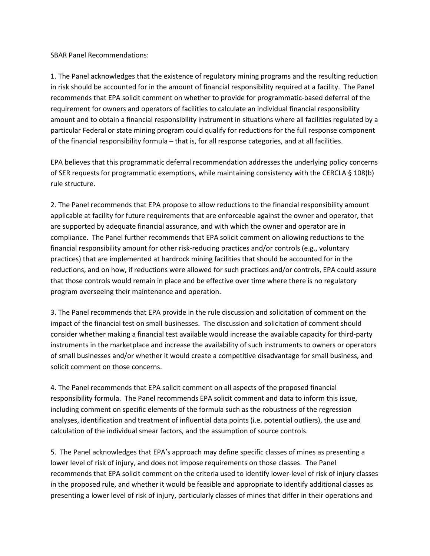SBAR Panel Recommendations:

1. The Panel acknowledges that the existence of regulatory mining programs and the resulting reduction in risk should be accounted for in the amount of financial responsibility required at a facility. The Panel recommends that EPA solicit comment on whether to provide for programmatic-based deferral of the requirement for owners and operators of facilities to calculate an individual financial responsibility amount and to obtain a financial responsibility instrument in situations where all facilities regulated by a particular Federal or state mining program could qualify for reductions for the full response component of the financial responsibility formula – that is, for all response categories, and at all facilities.

EPA believes that this programmatic deferral recommendation addresses the underlying policy concerns of SER requests for programmatic exemptions, while maintaining consistency with the CERCLA § 108(b) rule structure.

2. The Panel recommends that EPA propose to allow reductions to the financial responsibility amount applicable at facility for future requirements that are enforceable against the owner and operator, that are supported by adequate financial assurance, and with which the owner and operator are in compliance. The Panel further recommends that EPA solicit comment on allowing reductions to the financial responsibility amount for other risk-reducing practices and/or controls (e.g., voluntary practices) that are implemented at hardrock mining facilities that should be accounted for in the reductions, and on how, if reductions were allowed for such practices and/or controls, EPA could assure that those controls would remain in place and be effective over time where there is no regulatory program overseeing their maintenance and operation.

3. The Panel recommends that EPA provide in the rule discussion and solicitation of comment on the impact of the financial test on small businesses. The discussion and solicitation of comment should consider whether making a financial test available would increase the available capacity for third-party instruments in the marketplace and increase the availability of such instruments to owners or operators of small businesses and/or whether it would create a competitive disadvantage for small business, and solicit comment on those concerns.

4. The Panel recommends that EPA solicit comment on all aspects of the proposed financial responsibility formula. The Panel recommends EPA solicit comment and data to inform this issue, including comment on specific elements of the formula such as the robustness of the regression analyses, identification and treatment of influential data points (i.e. potential outliers), the use and calculation of the individual smear factors, and the assumption of source controls.

5. The Panel acknowledges that EPA's approach may define specific classes of mines as presenting a lower level of risk of injury, and does not impose requirements on those classes. The Panel recommends that EPA solicit comment on the criteria used to identify lower-level of risk of injury classes in the proposed rule, and whether it would be feasible and appropriate to identify additional classes as presenting a lower level of risk of injury, particularly classes of mines that differ in their operations and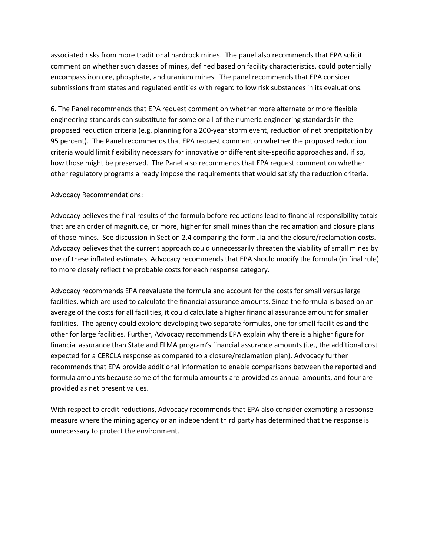associated risks from more traditional hardrock mines. The panel also recommends that EPA solicit comment on whether such classes of mines, defined based on facility characteristics, could potentially encompass iron ore, phosphate, and uranium mines. The panel recommends that EPA consider submissions from states and regulated entities with regard to low risk substances in its evaluations.

6. The Panel recommends that EPA request comment on whether more alternate or more flexible engineering standards can substitute for some or all of the numeric engineering standards in the proposed reduction criteria (e.g. planning for a 200-year storm event, reduction of net precipitation by 95 percent). The Panel recommends that EPA request comment on whether the proposed reduction criteria would limit flexibility necessary for innovative or different site-specific approaches and, if so, how those might be preserved. The Panel also recommends that EPA request comment on whether other regulatory programs already impose the requirements that would satisfy the reduction criteria.

## Advocacy Recommendations:

Advocacy believes the final results of the formula before reductions lead to financial responsibility totals that are an order of magnitude, or more, higher for small mines than the reclamation and closure plans of those mines. See discussion in Section 2.4 comparing the formula and the closure/reclamation costs. Advocacy believes that the current approach could unnecessarily threaten the viability of small mines by use of these inflated estimates. Advocacy recommends that EPA should modify the formula (in final rule) to more closely reflect the probable costs for each response category.

Advocacy recommends EPA reevaluate the formula and account for the costs for small versus large facilities, which are used to calculate the financial assurance amounts. Since the formula is based on an average of the costs for all facilities, it could calculate a higher financial assurance amount for smaller facilities. The agency could explore developing two separate formulas, one for small facilities and the other for large facilities. Further, Advocacy recommends EPA explain why there is a higher figure for financial assurance than State and FLMA program's financial assurance amounts (i.e., the additional cost expected for a CERCLA response as compared to a closure/reclamation plan). Advocacy further recommends that EPA provide additional information to enable comparisons between the reported and formula amounts because some of the formula amounts are provided as annual amounts, and four are provided as net present values.

With respect to credit reductions, Advocacy recommends that EPA also consider exempting a response measure where the mining agency or an independent third party has determined that the response is unnecessary to protect the environment.